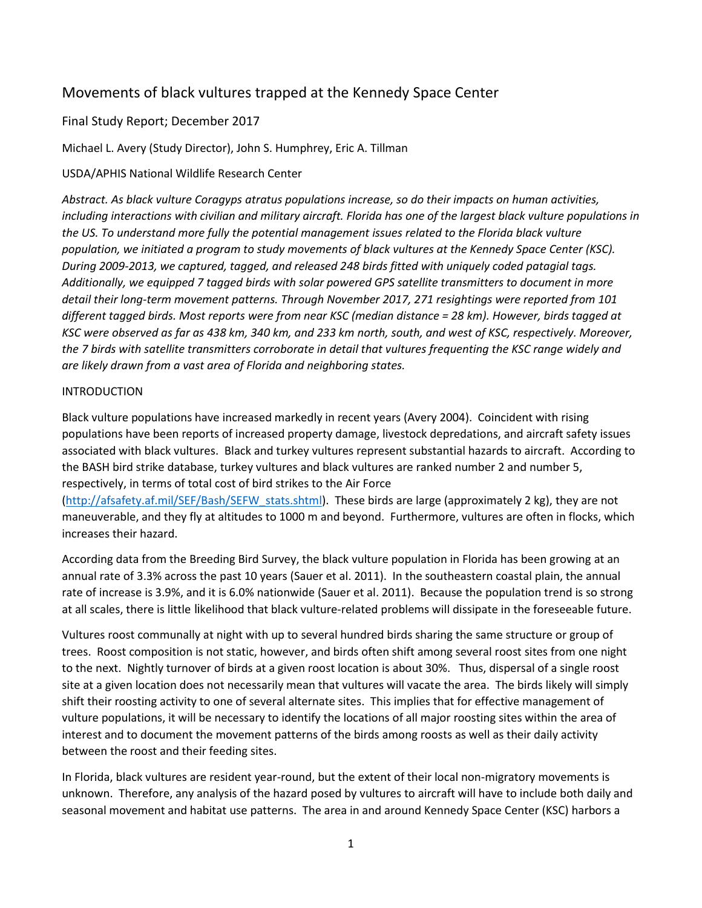# Movements of black vultures trapped at the Kennedy Space Center

# Final Study Report; December 2017

Michael L. Avery (Study Director), John S. Humphrey, Eric A. Tillman

## USDA/APHIS National Wildlife Research Center

*Abstract. As black vulture Coragyps atratus populations increase, so do their impacts on human activities, including interactions with civilian and military aircraft. Florida has one of the largest black vulture populations in the US. To understand more fully the potential management issues related to the Florida black vulture population, we initiated a program to study movements of black vultures at the Kennedy Space Center (KSC). During 2009-2013, we captured, tagged, and released 248 birds fitted with uniquely coded patagial tags. Additionally, we equipped 7 tagged birds with solar powered GPS satellite transmitters to document in more detail their long-term movement patterns. Through November 2017, 271 resightings were reported from 101 different tagged birds. Most reports were from near KSC (median distance = 28 km). However, birds tagged at KSC were observed as far as 438 km, 340 km, and 233 km north, south, and west of KSC, respectively. Moreover, the 7 birds with satellite transmitters corroborate in detail that vultures frequenting the KSC range widely and are likely drawn from a vast area of Florida and neighboring states.*

## INTRODUCTION

Black vulture populations have increased markedly in recent years (Avery 2004). Coincident with rising populations have been reports of increased property damage, livestock depredations, and aircraft safety issues associated with black vultures. Black and turkey vultures represent substantial hazards to aircraft. According to the BASH bird strike database, turkey vultures and black vultures are ranked number 2 and number 5, respectively, in terms of total cost of bird strikes to the Air Force

[\(http://afsafety.af.mil/SEF/Bash/SEFW\\_stats.shtml\)](http://afsafety.af.mil/SEF/Bash/SEFW_stats.shtml). These birds are large (approximately 2 kg), they are not maneuverable, and they fly at altitudes to 1000 m and beyond. Furthermore, vultures are often in flocks, which increases their hazard.

According data from the Breeding Bird Survey, the black vulture population in Florida has been growing at an annual rate of 3.3% across the past 10 years (Sauer et al. 2011). In the southeastern coastal plain, the annual rate of increase is 3.9%, and it is 6.0% nationwide (Sauer et al. 2011). Because the population trend is so strong at all scales, there is little likelihood that black vulture-related problems will dissipate in the foreseeable future.

Vultures roost communally at night with up to several hundred birds sharing the same structure or group of trees. Roost composition is not static, however, and birds often shift among several roost sites from one night to the next. Nightly turnover of birds at a given roost location is about 30%. Thus, dispersal of a single roost site at a given location does not necessarily mean that vultures will vacate the area. The birds likely will simply shift their roosting activity to one of several alternate sites. This implies that for effective management of vulture populations, it will be necessary to identify the locations of all major roosting sites within the area of interest and to document the movement patterns of the birds among roosts as well as their daily activity between the roost and their feeding sites.

In Florida, black vultures are resident year-round, but the extent of their local non-migratory movements is unknown. Therefore, any analysis of the hazard posed by vultures to aircraft will have to include both daily and seasonal movement and habitat use patterns. The area in and around Kennedy Space Center (KSC) harbors a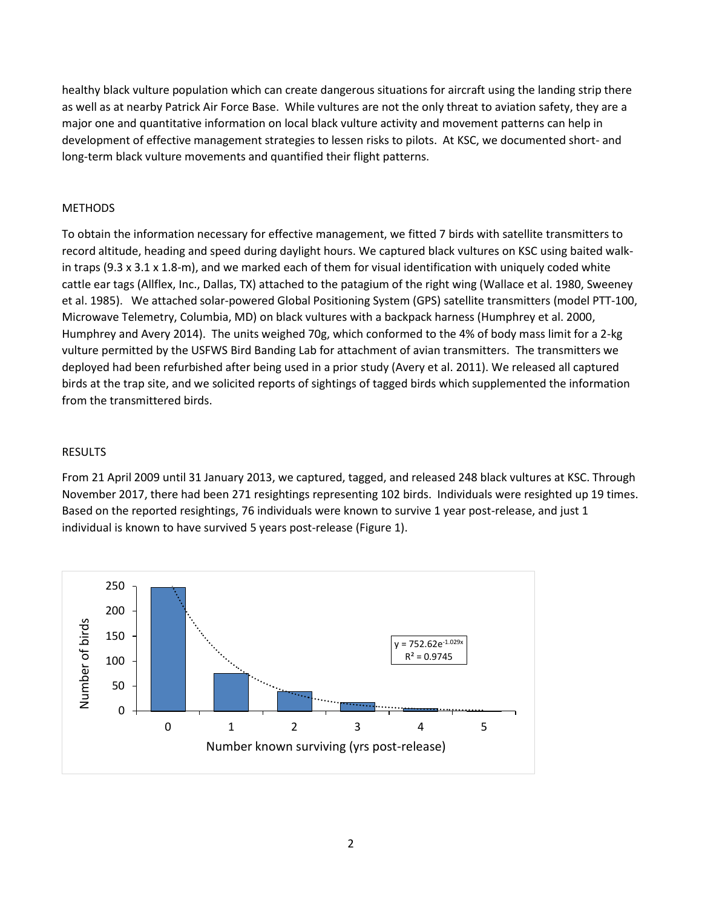healthy black vulture population which can create dangerous situations for aircraft using the landing strip there as well as at nearby Patrick Air Force Base. While vultures are not the only threat to aviation safety, they are a major one and quantitative information on local black vulture activity and movement patterns can help in development of effective management strategies to lessen risks to pilots. At KSC, we documented short- and long-term black vulture movements and quantified their flight patterns.

## METHODS

To obtain the information necessary for effective management, we fitted 7 birds with satellite transmitters to record altitude, heading and speed during daylight hours. We captured black vultures on KSC using baited walkin traps (9.3 x 3.1 x 1.8-m), and we marked each of them for visual identification with uniquely coded white cattle ear tags (Allflex, Inc., Dallas, TX) attached to the patagium of the right wing (Wallace et al. 1980, Sweeney et al. 1985). We attached solar-powered Global Positioning System (GPS) satellite transmitters (model PTT-100, Microwave Telemetry, Columbia, MD) on black vultures with a backpack harness (Humphrey et al. 2000, Humphrey and Avery 2014). The units weighed 70g, which conformed to the 4% of body mass limit for a 2-kg vulture permitted by the USFWS Bird Banding Lab for attachment of avian transmitters. The transmitters we deployed had been refurbished after being used in a prior study (Avery et al. 2011). We released all captured birds at the trap site, and we solicited reports of sightings of tagged birds which supplemented the information from the transmittered birds.

## RESULTS

From 21 April 2009 until 31 January 2013, we captured, tagged, and released 248 black vultures at KSC. Through November 2017, there had been 271 resightings representing 102 birds. Individuals were resighted up 19 times. Based on the reported resightings, 76 individuals were known to survive 1 year post-release, and just 1 individual is known to have survived 5 years post-release (Figure 1).

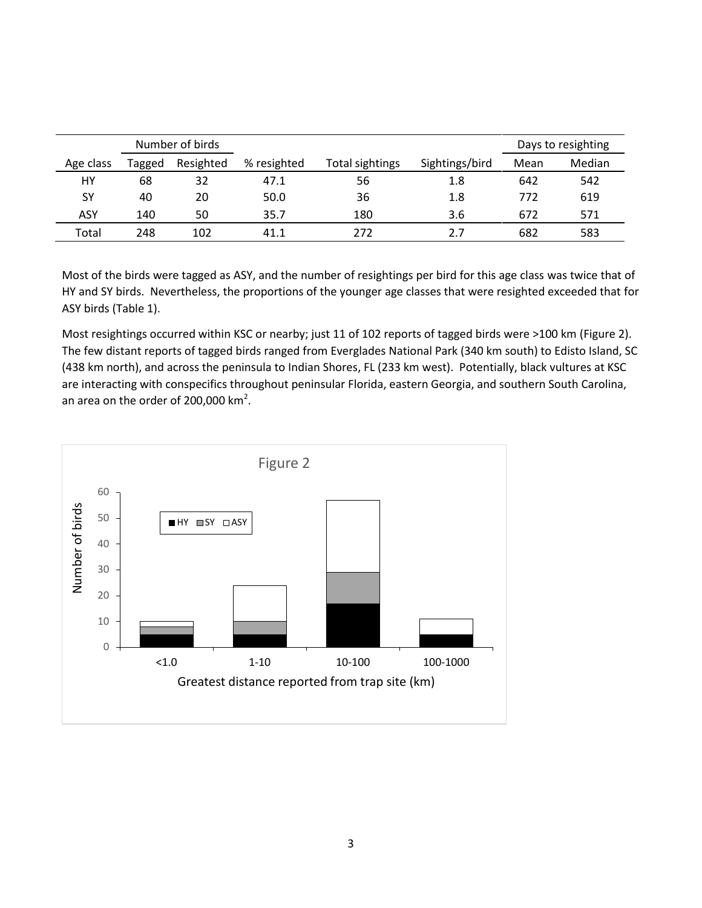|            |        | Number of birds |             |                 |                | Days to resighting |        |
|------------|--------|-----------------|-------------|-----------------|----------------|--------------------|--------|
| Age class  | Tagged | Resighted       | % resighted | Total sightings | Sightings/bird | Mean               | Median |
| HY         | 68     | 32              | 47.1        | 56              | 1.8            | 642                | 542    |
| SΥ         | 40     | 20              | 50.0        | 36              | 1.8            | 772                | 619    |
| <b>ASY</b> | 140    | 50              | 35.7        | 180             | 3.6            | 672                | 571    |
| Total      | 248    | 102             | 41.1        | 272             | 2.7            | 682                | 583    |

Most of the birds were tagged as ASY, and the number of resightings per bird for this age class was twice that of HY and SY birds. Nevertheless, the proportions of the younger age classes that were resighted exceeded that for ASY birds (Table 1).

Most resightings occurred within KSC or nearby; just 11 of 102 reports of tagged birds were >100 km (Figure 2). The few distant reports of tagged birds ranged from Everglades National Park (340 km south) to Edisto Island, SC (438 km north), and across the peninsula to Indian Shores, FL (233 km west). Potentially, black vultures at KSC are interacting with conspecifics throughout peninsular Florida, eastern Georgia, and southern South Carolina, an area on the order of 200,000 km<sup>2</sup>.

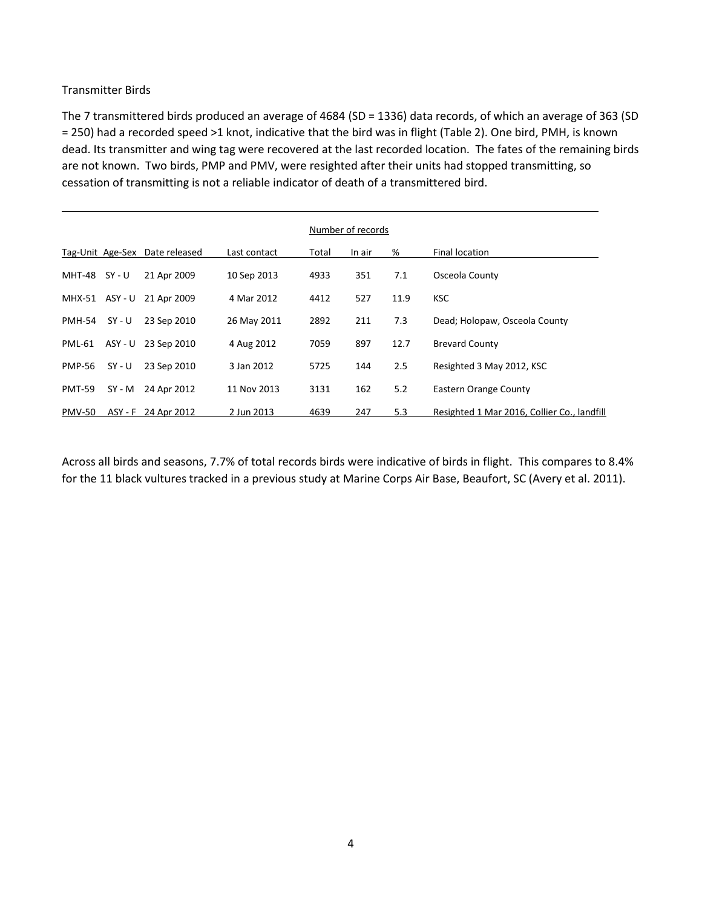## Transmitter Birds

The 7 transmittered birds produced an average of 4684 (SD = 1336) data records, of which an average of 363 (SD = 250) had a recorded speed >1 knot, indicative that the bird was in flight (Table 2). One bird, PMH, is known dead. Its transmitter and wing tag were recovered at the last recorded location. The fates of the remaining birds are not known. Two birds, PMP and PMV, were resighted after their units had stopped transmitting, so cessation of transmitting is not a reliable indicator of death of a transmittered bird.

|               |          |                                |              | Number of records |        |      |                                             |  |  |
|---------------|----------|--------------------------------|--------------|-------------------|--------|------|---------------------------------------------|--|--|
|               |          | Tag-Unit Age-Sex Date released | Last contact | Total             | In air | %    | <b>Final location</b>                       |  |  |
| MHT-48        | SY - U   | 21 Apr 2009                    | 10 Sep 2013  | 4933              | 351    | 7.1  | Osceola County                              |  |  |
| MHX-51        | ASY - U  | 21 Apr 2009                    | 4 Mar 2012   | 4412              | 527    | 11.9 | <b>KSC</b>                                  |  |  |
| <b>PMH-54</b> | $SY - U$ | 23 Sep 2010                    | 26 May 2011  | 2892              | 211    | 7.3  | Dead; Holopaw, Osceola County               |  |  |
| <b>PML-61</b> | ASY - U  | 23 Sep 2010                    | 4 Aug 2012   | 7059              | 897    | 12.7 | <b>Brevard County</b>                       |  |  |
| <b>PMP-56</b> | $SY - U$ | 23 Sep 2010                    | 3 Jan 2012   | 5725              | 144    | 2.5  | Resighted 3 May 2012, KSC                   |  |  |
| <b>PMT-59</b> | SY - M   | 24 Apr 2012                    | 11 Nov 2013  | 3131              | 162    | 5.2  | <b>Eastern Orange County</b>                |  |  |
| <b>PMV-50</b> | ASY - F  | 24 Apr 2012                    | 2 Jun 2013   | 4639              | 247    | 5.3  | Resighted 1 Mar 2016, Collier Co., landfill |  |  |

Across all birds and seasons, 7.7% of total records birds were indicative of birds in flight. This compares to 8.4% for the 11 black vultures tracked in a previous study at Marine Corps Air Base, Beaufort, SC (Avery et al. 2011).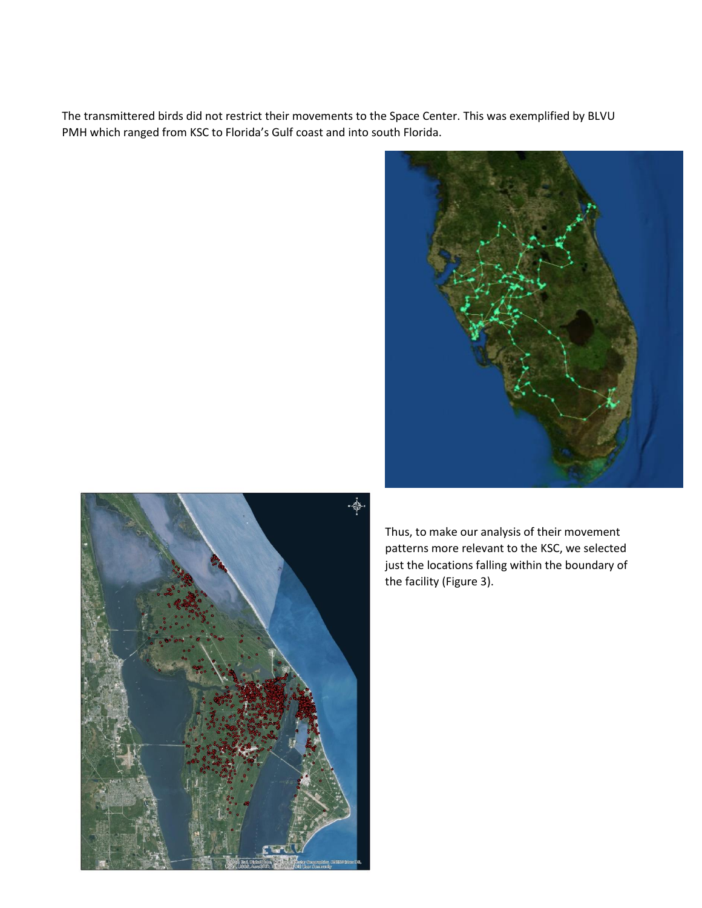The transmittered birds did not restrict their movements to the Space Center. This was exemplified by BLVU PMH which ranged from KSC to Florida's Gulf coast and into south Florida.





Thus, to make our analysis of their movement patterns more relevant to the KSC, we selected just the locations falling within the boundary of the facility (Figure 3).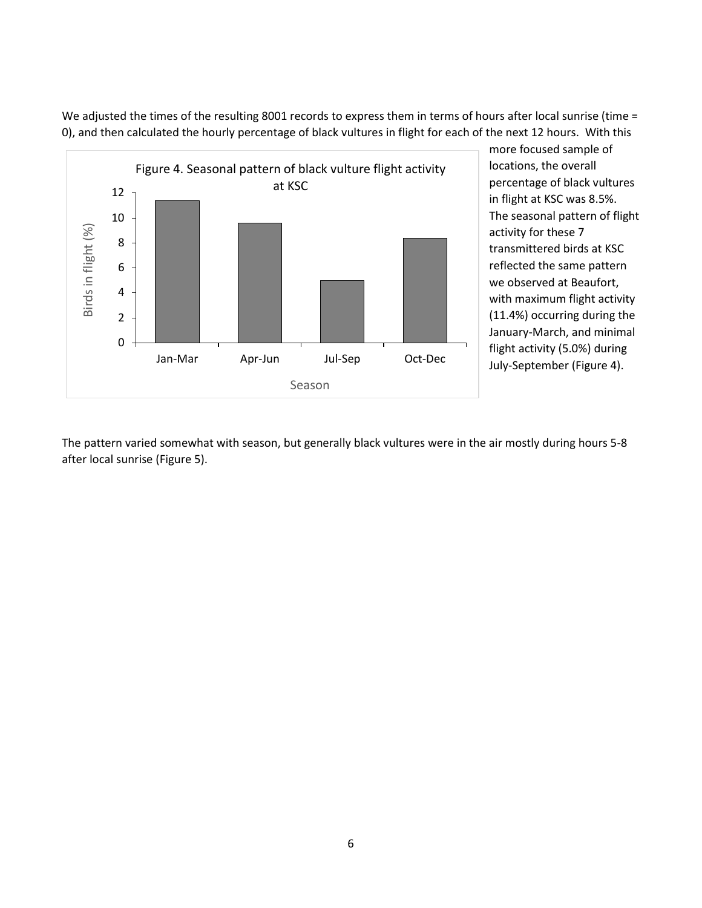We adjusted the times of the resulting 8001 records to express them in terms of hours after local sunrise (time = 0), and then calculated the hourly percentage of black vultures in flight for each of the next 12 hours. With this



more focused sample of locations, the overall percentage of black vultures in flight at KSC was 8.5%. The seasonal pattern of flight activity for these 7 transmittered birds at KSC reflected the same pattern we observed at Beaufort, with maximum flight activity (11.4%) occurring during the January-March, and minimal flight activity (5.0%) during July-September (Figure 4).

The pattern varied somewhat with season, but generally black vultures were in the air mostly during hours 5-8 after local sunrise (Figure 5).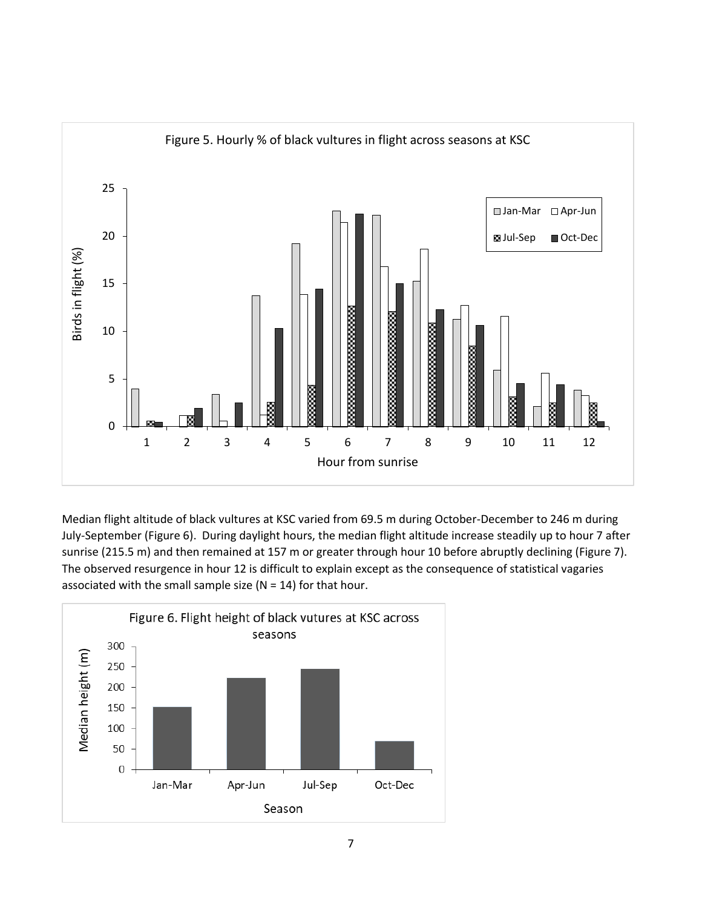

Median flight altitude of black vultures at KSC varied from 69.5 m during October-December to 246 m during July-September (Figure 6). During daylight hours, the median flight altitude increase steadily up to hour 7 after sunrise (215.5 m) and then remained at 157 m or greater through hour 10 before abruptly declining (Figure 7). The observed resurgence in hour 12 is difficult to explain except as the consequence of statistical vagaries associated with the small sample size ( $N = 14$ ) for that hour.

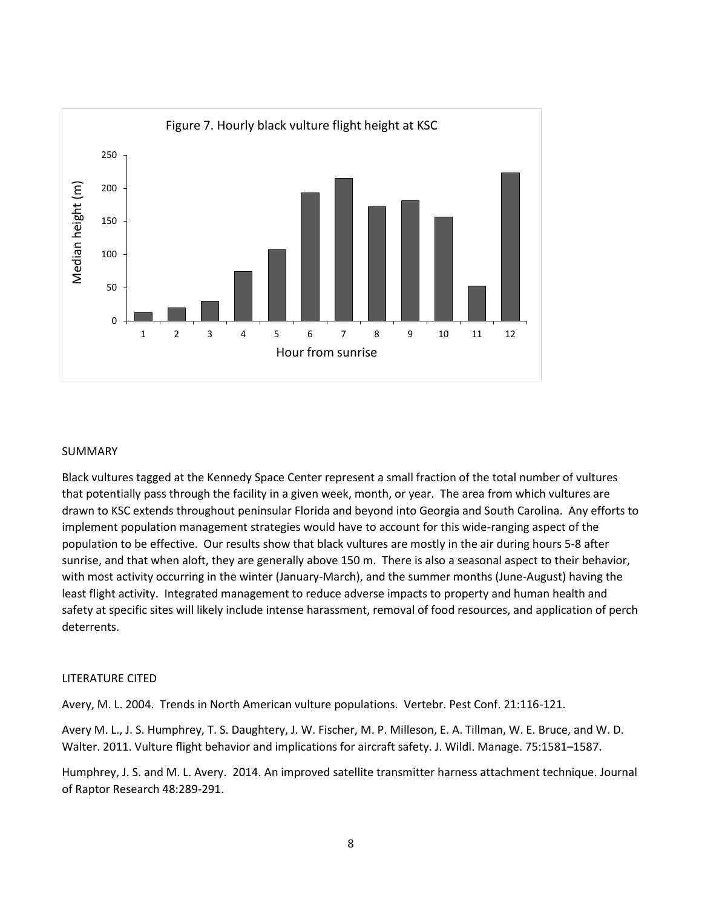

#### SUMMARY

Black vultures tagged at the Kennedy Space Center represent a small fraction of the total number of vultures that potentially pass through the facility in a given week, month, or year. The area from which vultures are drawn to KSC extends throughout peninsular Florida and beyond into Georgia and South Carolina. Any efforts to implement population management strategies would have to account for this wide-ranging aspect of the population to be effective. Our results show that black vultures are mostly in the air during hours 5-8 after sunrise, and that when aloft, they are generally above 150 m. There is also a seasonal aspect to their behavior, with most activity occurring in the winter (January-March), and the summer months (June-August) having the least flight activity. Integrated management to reduce adverse impacts to property and human health and safety at specific sites will likely include intense harassment, removal of food resources, and application of perch deterrents.

#### LITERATURE CITED

Avery, M. L. 2004. Trends in North American vulture populations. Vertebr. Pest Conf. 21:116-121.

Avery M. L., J. S. Humphrey, T. S. Daughtery, J. W. Fischer, M. P. Milleson, E. A. Tillman, W. E. Bruce, and W. D. Walter. 2011. Vulture flight behavior and implications for aircraft safety. J. Wildl. Manage. 75:1581–1587.

Humphrey, J. S. and M. L. Avery. 2014. An improved satellite transmitter harness attachment technique. Journal of Raptor Research 48:289-291.